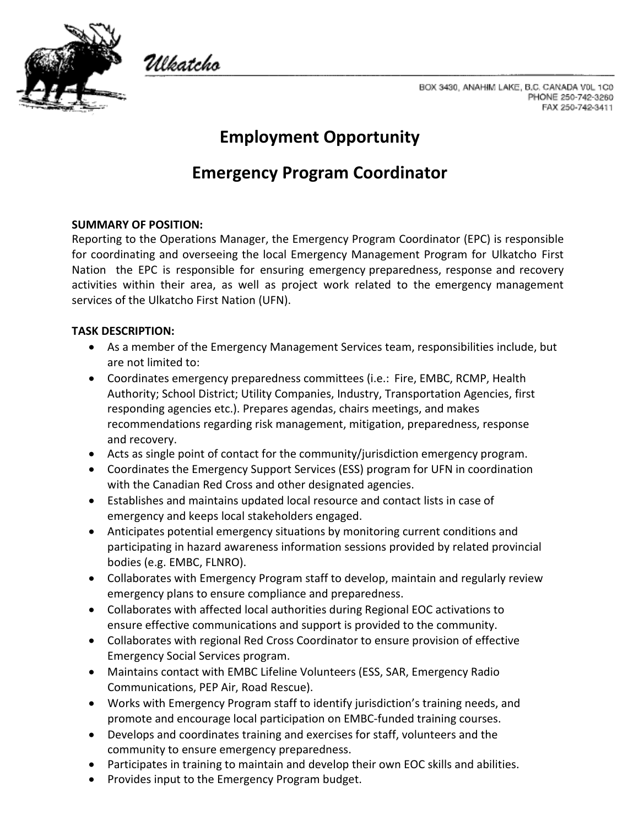

Ulkatcho

BOX 3430, ANAHIM LAKE, B.C. CANADA V0L 1C0 PHONE 250-742-3260 FAX 250-742-3411

# **Employment Opportunity**

# **Emergency Program Coordinator**

### **SUMMARY OF POSITION:**

Reporting to the Operations Manager, the Emergency Program Coordinator (EPC) is responsible for coordinating and overseeing the local Emergency Management Program for Ulkatcho First Nation the EPC is responsible for ensuring emergency preparedness, response and recovery activities within their area, as well as project work related to the emergency management services of the Ulkatcho First Nation (UFN).

#### **TASK DESCRIPTION:**

- As a member of the Emergency Management Services team, responsibilities include, but are not limited to:
- Coordinates emergency preparedness committees (i.e.: Fire, EMBC, RCMP, Health Authority; School District; Utility Companies, Industry, Transportation Agencies, first responding agencies etc.). Prepares agendas, chairs meetings, and makes recommendations regarding risk management, mitigation, preparedness, response and recovery.
- Acts as single point of contact for the community/jurisdiction emergency program.
- Coordinates the Emergency Support Services (ESS) program for UFN in coordination with the Canadian Red Cross and other designated agencies.
- Establishes and maintains updated local resource and contact lists in case of emergency and keeps local stakeholders engaged.
- Anticipates potential emergency situations by monitoring current conditions and participating in hazard awareness information sessions provided by related provincial bodies (e.g. EMBC, FLNRO).
- Collaborates with Emergency Program staff to develop, maintain and regularly review emergency plans to ensure compliance and preparedness.
- Collaborates with affected local authorities during Regional EOC activations to ensure effective communications and support is provided to the community.
- Collaborates with regional Red Cross Coordinator to ensure provision of effective Emergency Social Services program.
- Maintains contact with EMBC Lifeline Volunteers (ESS, SAR, Emergency Radio Communications, PEP Air, Road Rescue).
- Works with Emergency Program staff to identify jurisdiction's training needs, and promote and encourage local participation on EMBC-funded training courses.
- Develops and coordinates training and exercises for staff, volunteers and the community to ensure emergency preparedness.
- Participates in training to maintain and develop their own EOC skills and abilities.
- Provides input to the Emergency Program budget.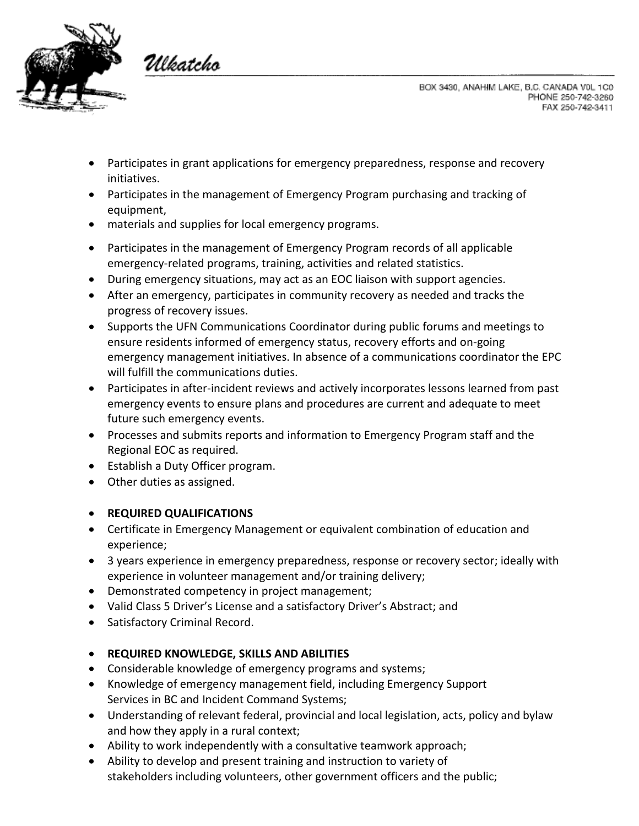

Ulkatcho

BOX 3430, ANAHIM LAKE, B.C. CANADA V0L 1C0 PHONE 250-742-3260 FAX 250-742-3411

- Participates in grant applications for emergency preparedness, response and recovery initiatives.
- Participates in the management of Emergency Program purchasing and tracking of equipment,
- materials and supplies for local emergency programs.
- Participates in the management of Emergency Program records of all applicable emergency-related programs, training, activities and related statistics.
- During emergency situations, may act as an EOC liaison with support agencies.
- After an emergency, participates in community recovery as needed and tracks the progress of recovery issues.
- Supports the UFN Communications Coordinator during public forums and meetings to ensure residents informed of emergency status, recovery efforts and on-going emergency management initiatives. In absence of a communications coordinator the EPC will fulfill the communications duties.
- Participates in after-incident reviews and actively incorporates lessons learned from past emergency events to ensure plans and procedures are current and adequate to meet future such emergency events.
- Processes and submits reports and information to Emergency Program staff and the Regional EOC as required.
- Establish a Duty Officer program.
- Other duties as assigned.

## • **REQUIRED QUALIFICATIONS**

- Certificate in Emergency Management or equivalent combination of education and experience;
- 3 years experience in emergency preparedness, response or recovery sector; ideally with experience in volunteer management and/or training delivery;
- Demonstrated competency in project management;
- Valid Class 5 Driver's License and a satisfactory Driver's Abstract; and
- Satisfactory Criminal Record.

## • **REQUIRED KNOWLEDGE, SKILLS AND ABILITIES**

- Considerable knowledge of emergency programs and systems;
- Knowledge of emergency management field, including Emergency Support Services in BC and Incident Command Systems;
- Understanding of relevant federal, provincial and local legislation, acts, policy and bylaw and how they apply in a rural context;
- Ability to work independently with a consultative teamwork approach;
- Ability to develop and present training and instruction to variety of stakeholders including volunteers, other government officers and the public;